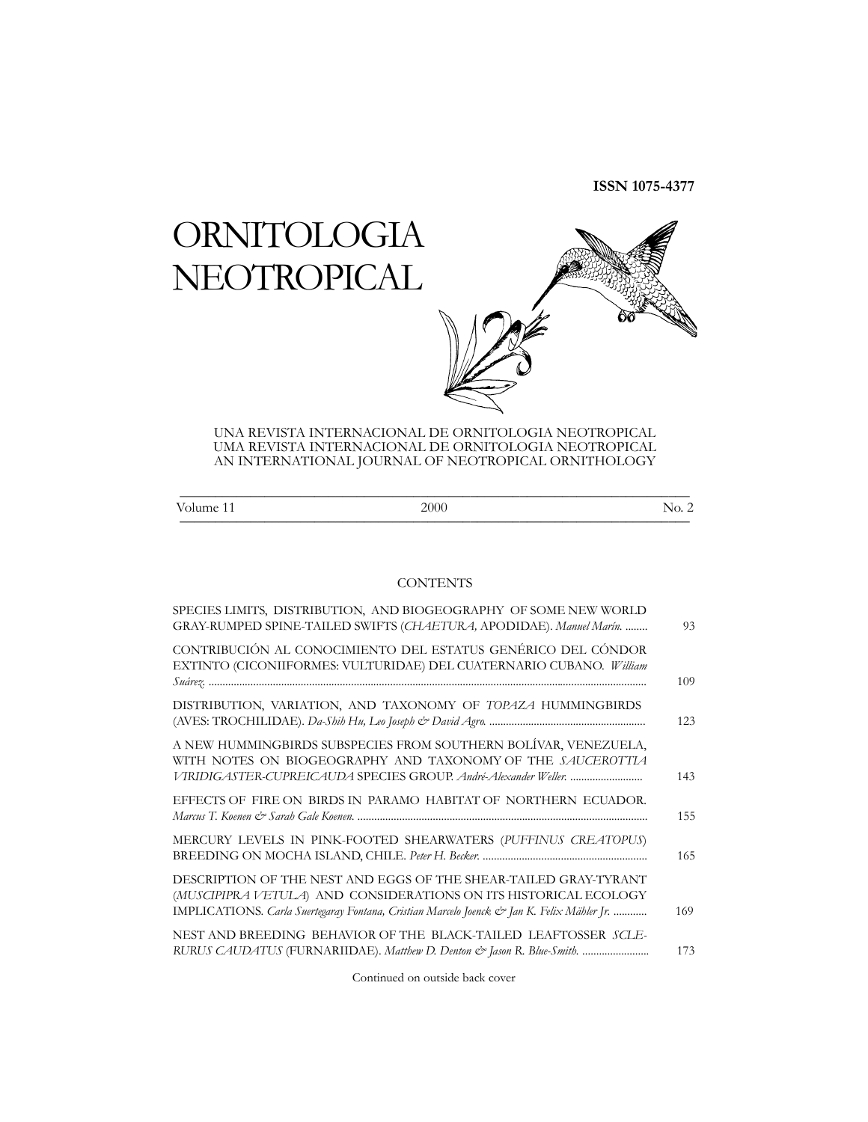# ORNITOLOGIA **NEOTROPICAL**



UNA REVISTA INTERNACIONAL DE ORNITOLOGIA NEOTROPICAL UMA REVISTA INTERNACIONAL DE ORNITOLOGIA NEOTROPICAL AN INTERNATIONAL JOURNAL OF NEOTROPICAL ORNITHOLOGY

| T<br>ume<br>$\pm$ 1<br>$\cdot$ | 2000 | ヽ<br><b>.</b> |
|--------------------------------|------|---------------|

## CONTENTS

| SPECIES LIMITS, DISTRIBUTION, AND BIOGEOGRAPHY OF SOME NEW WORLD<br>GRAY-RUMPED SPINE-TAILED SWIFTS (CHAETURA, APODIDAE). Manuel Marín.                                                                                            | 93  |
|------------------------------------------------------------------------------------------------------------------------------------------------------------------------------------------------------------------------------------|-----|
| CONTRIBUCIÓN AL CONOCIMIENTO DEL ESTATUS GENÉRICO DEL CÓNDOR<br>EXTINTO (CICONIIFORMES: VULTURIDAE) DEL CUATERNARIO CUBANO. William                                                                                                | 109 |
| DISTRIBUTION, VARIATION, AND TAXONOMY OF TOPAZA HUMMINGBIRDS                                                                                                                                                                       | 123 |
| A NEW HUMMINGBIRDS SUBSPECIES FROM SOUTHERN BOLÍVAR, VENEZUELA,<br>WITH NOTES ON BIOGEOGRAPHY AND TAXONOMY OF THE SAUCEROTTIA                                                                                                      | 143 |
| EFFECTS OF FIRE ON BIRDS IN PARAMO HABITAT OF NORTHERN ECUADOR.                                                                                                                                                                    | 155 |
| MERCURY LEVELS IN PINK-FOOTED SHEARWATERS (PUFFINUS CREATOPUS)                                                                                                                                                                     | 165 |
| DESCRIPTION OF THE NEST AND EGGS OF THE SHEAR-TAILED GRAY-TYRANT<br>(MUSCIPIPRA VETULA) AND CONSIDERATIONS ON ITS HISTORICAL ECOLOGY<br>IMPLICATIONS. Carla Suertegaray Fontana, Cristian Marcelo Joenck & Jan K. Felix Mähler Jr. | 169 |
| NEST AND BREEDING BEHAVIOR OF THE BLACK-TAILED LEAFTOSSER SCLE-<br>RURUS CAUDATUS (FURNARIIDAE). Matthew D. Denton & Jason R. Blue-Smith.                                                                                          | 173 |

Continued on outside back cover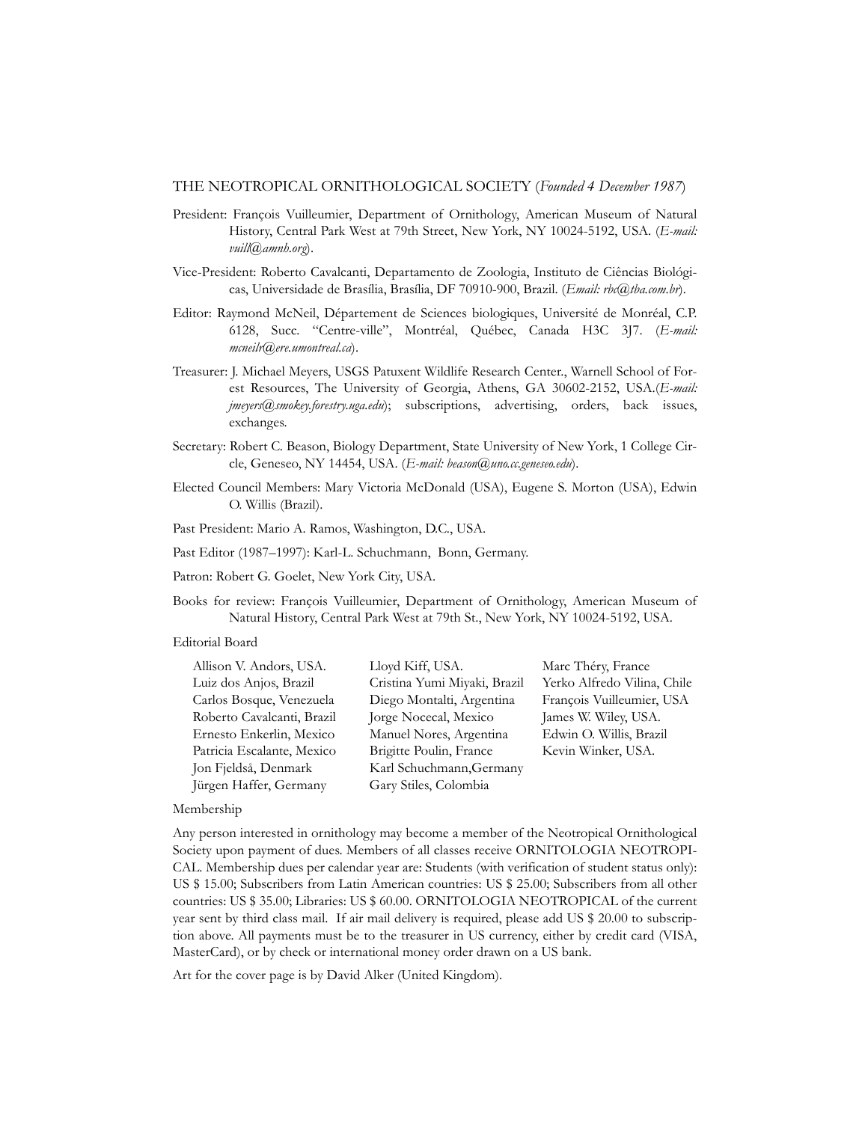#### THE NEOTROPICAL ORNITHOLOGICAL SOCIETY (*Founded 4 December 1987*)

- President: François Vuilleumier, Department of Ornithology, American Museum of Natural History, Central Park West at 79th Street, New York, NY 10024-5192, USA. (*E-mail: vuill@amnh.org*).
- Vice-President: Roberto Cavalcanti, Departamento de Zoologia, Instituto de Ciências Biológicas, Universidade de Brasília, Brasília, DF 70910-900, Brazil. (*Email: rbc@tba.com.br*).
- Editor: Raymond McNeil, Département de Sciences biologiques, Université de Monréal, C.P. 6128, Succ. "Centre-ville", Montréal, Québec, Canada H3C 3J7. (*E-mail: mcneilr@ere.umontreal.ca*).
- Treasurer: J. Michael Meyers, USGS Patuxent Wildlife Research Center., Warnell School of Forest Resources, The University of Georgia, Athens, GA 30602-2152, USA.(*E-mail: jmeyers@smokey.forestry.uga.edu*); subscriptions, advertising, orders, back issues, exchanges.
- Secretary: Robert C. Beason, Biology Department, State University of New York, 1 College Circle, Geneseo, NY 14454, USA. (*E-mail: beason@uno.cc.geneseo.edu*).
- Elected Council Members: Mary Victoria McDonald (USA), Eugene S. Morton (USA), Edwin O. Willis (Brazil).

Past President: Mario A. Ramos, Washington, D.C., USA.

Past Editor (1987–1997): Karl-L. Schuchmann, Bonn, Germany.

Patron: Robert G. Goelet, New York City, USA.

Books for review: François Vuilleumier, Department of Ornithology, American Museum of Natural History, Central Park West at 79th St., New York, NY 10024-5192, USA.

#### Editorial Board

| Allison V. Andors, USA.    | Lloyd Kiff, USA.             | Marc Théry, France          |
|----------------------------|------------------------------|-----------------------------|
| Luiz dos Anjos, Brazil     | Cristina Yumi Miyaki, Brazil | Yerko Alfredo Vilina, Chile |
| Carlos Bosque, Venezuela   | Diego Montalti, Argentina    | François Vuilleumier, USA   |
| Roberto Cavalcanti, Brazil | Jorge Nocecal, Mexico        | James W. Wiley, USA.        |
| Ernesto Enkerlin, Mexico   | Manuel Nores, Argentina      | Edwin O. Willis, Brazil     |
| Patricia Escalante, Mexico | Brigitte Poulin, France      | Kevin Winker, USA.          |
| Jon Fjeldså, Denmark       | Karl Schuchmann, Germany     |                             |
| Jürgen Haffer, Germany     | Gary Stiles, Colombia        |                             |

#### Membership

Any person interested in ornithology may become a member of the Neotropical Ornithological Society upon payment of dues. Members of all classes receive ORNITOLOGIA NEOTROPI-CAL. Membership dues per calendar year are: Students (with verification of student status only): US \$ 15.00; Subscribers from Latin American countries: US \$ 25.00; Subscribers from all other countries: US \$ 35.00; Libraries: US \$ 60.00. ORNITOLOGIA NEOTROPICAL of the current year sent by third class mail. If air mail delivery is required, please add US \$ 20.00 to subscription above. All payments must be to the treasurer in US currency, either by credit card (VISA, MasterCard), or by check or international money order drawn on a US bank.

Art for the cover page is by David Alker (United Kingdom).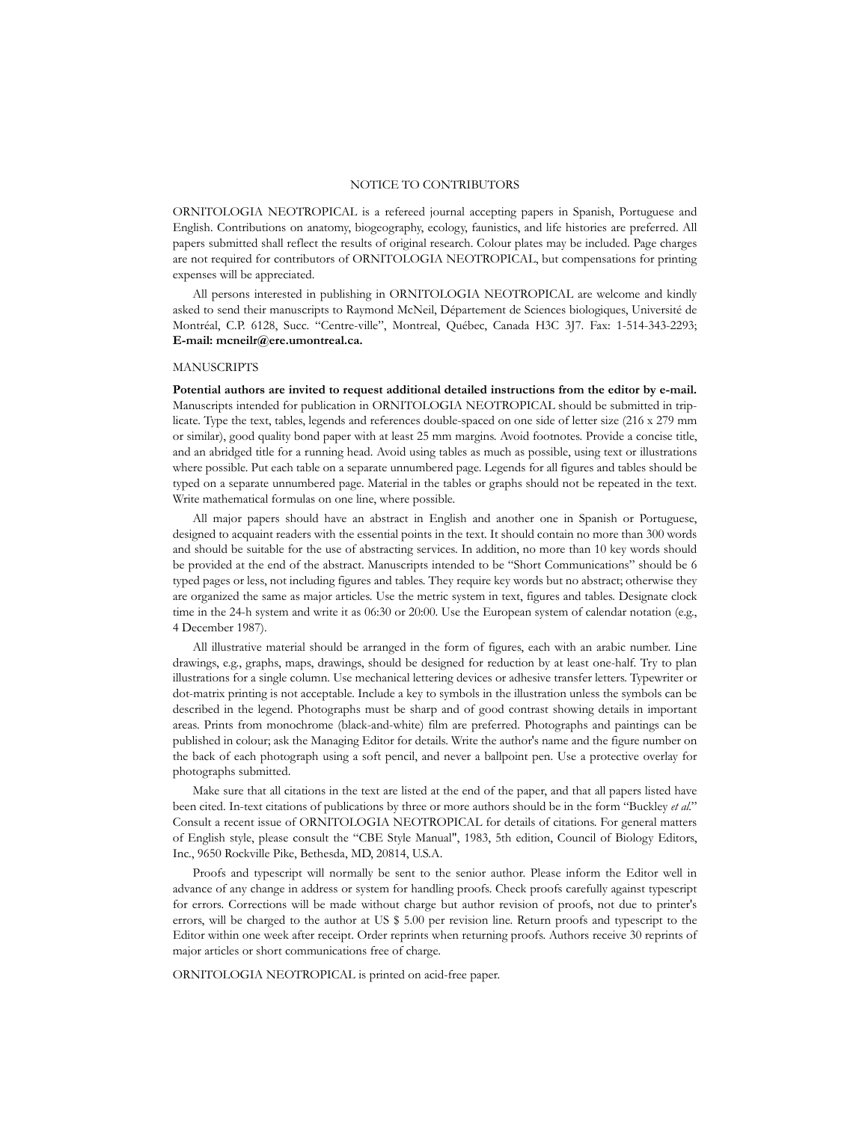### NOTICE TO CONTRIBUTORS

ORNITOLOGIA NEOTROPICAL is a refereed journal accepting papers in Spanish, Portuguese and English. Contributions on anatomy, biogeography, ecology, faunistics, and life histories are preferred. All papers submitted shall reflect the results of original research. Colour plates may be included. Page charges are not required for contributors of ORNITOLOGIA NEOTROPICAL, but compensations for printing expenses will be appreciated.

All persons interested in publishing in ORNITOLOGIA NEOTROPICAL are welcome and kindly asked to send their manuscripts to Raymond McNeil, Département de Sciences biologiques, Université de Montréal, C.P. 6128, Succ. "Centre-ville", Montreal, Québec, Canada H3C 3J7. Fax: 1-514-343-2293; **E-mail: mcneilr@ere.umontreal.ca.**

#### MANUSCRIPTS

**Potential authors are invited to request additional detailed instructions from the editor by e-mail.** Manuscripts intended for publication in ORNITOLOGIA NEOTROPICAL should be submitted in triplicate. Type the text, tables, legends and references double-spaced on one side of letter size (216 x 279 mm or similar), good quality bond paper with at least 25 mm margins. Avoid footnotes. Provide a concise title, and an abridged title for a running head. Avoid using tables as much as possible, using text or illustrations where possible. Put each table on a separate unnumbered page. Legends for all figures and tables should be typed on a separate unnumbered page. Material in the tables or graphs should not be repeated in the text. Write mathematical formulas on one line, where possible.

All major papers should have an abstract in English and another one in Spanish or Portuguese, designed to acquaint readers with the essential points in the text. It should contain no more than 300 words and should be suitable for the use of abstracting services. In addition, no more than 10 key words should be provided at the end of the abstract. Manuscripts intended to be "Short Communications" should be 6 typed pages or less, not including figures and tables. They require key words but no abstract; otherwise they are organized the same as major articles. Use the metric system in text, figures and tables. Designate clock time in the 24-h system and write it as 06:30 or 20:00. Use the European system of calendar notation (e.g., 4 December 1987).

All illustrative material should be arranged in the form of figures, each with an arabic number. Line drawings, e.g., graphs, maps, drawings, should be designed for reduction by at least one-half. Try to plan illustrations for a single column. Use mechanical lettering devices or adhesive transfer letters. Typewriter or dot-matrix printing is not acceptable. Include a key to symbols in the illustration unless the symbols can be described in the legend. Photographs must be sharp and of good contrast showing details in important areas. Prints from monochrome (black-and-white) film are preferred. Photographs and paintings can be published in colour; ask the Managing Editor for details. Write the author's name and the figure number on the back of each photograph using a soft pencil, and never a ballpoint pen. Use a protective overlay for photographs submitted.

Make sure that all citations in the text are listed at the end of the paper, and that all papers listed have been cited. In-text citations of publications by three or more authors should be in the form "Buckley *et al.*" Consult a recent issue of ORNITOLOGIA NEOTROPICAL for details of citations. For general matters of English style, please consult the "CBE Style Manual", 1983, 5th edition, Council of Biology Editors, Inc., 9650 Rockville Pike, Bethesda, MD, 20814, U.S.A.

Proofs and typescript will normally be sent to the senior author. Please inform the Editor well in advance of any change in address or system for handling proofs. Check proofs carefully against typescript for errors. Corrections will be made without charge but author revision of proofs, not due to printer's errors, will be charged to the author at US \$ 5.00 per revision line. Return proofs and typescript to the Editor within one week after receipt. Order reprints when returning proofs. Authors receive 30 reprints of major articles or short communications free of charge.

ORNITOLOGIA NEOTROPICAL is printed on acid-free paper.